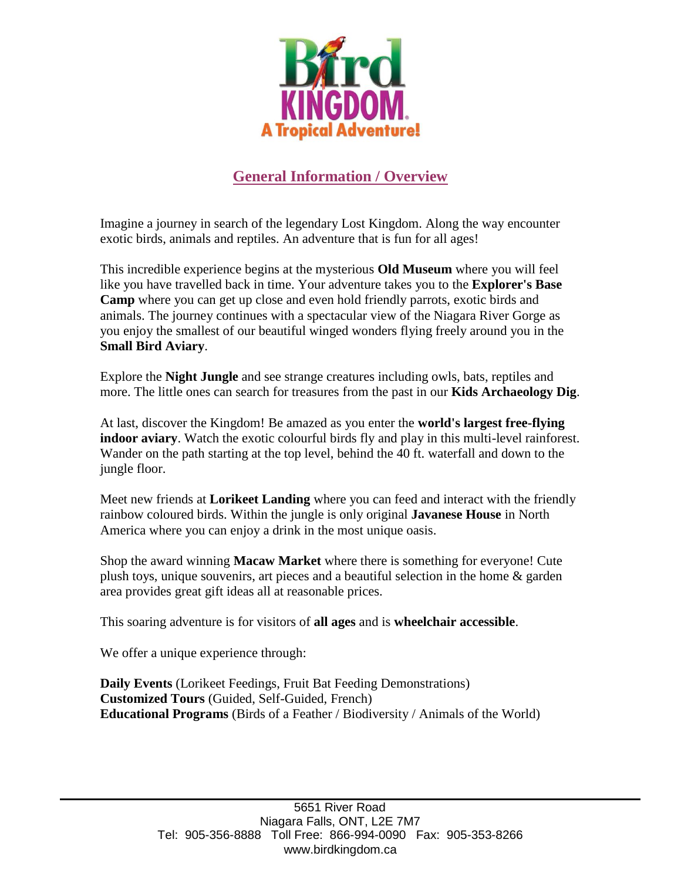

# **General Information / Overview**

Imagine a journey in search of the legendary Lost Kingdom. Along the way encounter exotic birds, animals and reptiles. An adventure that is fun for all ages!

This incredible experience begins at the mysterious **Old Museum** where you will feel like you have travelled back in time. Your adventure takes you to the **Explorer's Base Camp** where you can get up close and even hold friendly parrots, exotic birds and animals. The journey continues with a spectacular view of the Niagara River Gorge as you enjoy the smallest of our beautiful winged wonders flying freely around you in the **Small Bird Aviary**.

Explore the **Night Jungle** and see strange creatures including owls, bats, reptiles and more. The little ones can search for treasures from the past in our **Kids Archaeology Dig**.

At last, discover the Kingdom! Be amazed as you enter the **world's largest free-flying indoor aviary**. Watch the exotic colourful birds fly and play in this multi-level rainforest. Wander on the path starting at the top level, behind the 40 ft. waterfall and down to the jungle floor.

Meet new friends at **Lorikeet Landing** where you can feed and interact with the friendly rainbow coloured birds. Within the jungle is only original **Javanese House** in North America where you can enjoy a drink in the most unique oasis.

Shop the award winning **Macaw Market** where there is something for everyone! Cute plush toys, unique souvenirs, art pieces and a beautiful selection in the home & garden area provides great gift ideas all at reasonable prices.

This soaring adventure is for visitors of **all ages** and is **wheelchair accessible**.

We offer a unique experience through:

**Daily Events** (Lorikeet Feedings, Fruit Bat Feeding Demonstrations) **Customized Tours** (Guided, Self-Guided, French) **Educational Programs** (Birds of a Feather / Biodiversity / Animals of the World)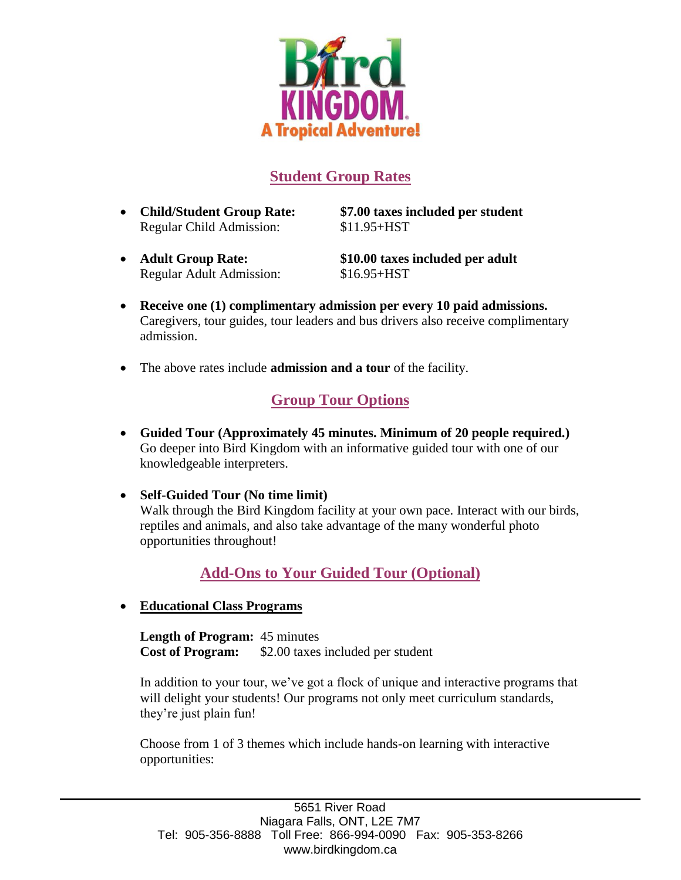

### **Student Group Rates**

Regular Child Admission: \$11.95+HST

**Child/Student Group Rate: \$7.00 taxes included per student**

Regular Adult Admission: \$16.95+HST

**Adult Group Rate: \$10.00 taxes included per adult**

- **Receive one (1) complimentary admission per every 10 paid admissions.** Caregivers, tour guides, tour leaders and bus drivers also receive complimentary admission.
- The above rates include **admission and a tour** of the facility.

## **Group Tour Options**

- **Guided Tour (Approximately 45 minutes. Minimum of 20 people required.)** Go deeper into Bird Kingdom with an informative guided tour with one of our knowledgeable interpreters.
- **Self-Guided Tour (No time limit)** Walk through the Bird Kingdom facility at your own pace. Interact with our birds, reptiles and animals, and also take advantage of the many wonderful photo opportunities throughout!

#### **Add-Ons to Your Guided Tour (Optional)**

**Educational Class Programs**

**Length of Program:** 45 minutes **Cost of Program:** \$2.00 taxes included per student

In addition to your tour, we've got a flock of unique and interactive programs that will delight your students! Our programs not only meet curriculum standards, they're just plain fun!

Choose from 1 of 3 themes which include hands-on learning with interactive opportunities: